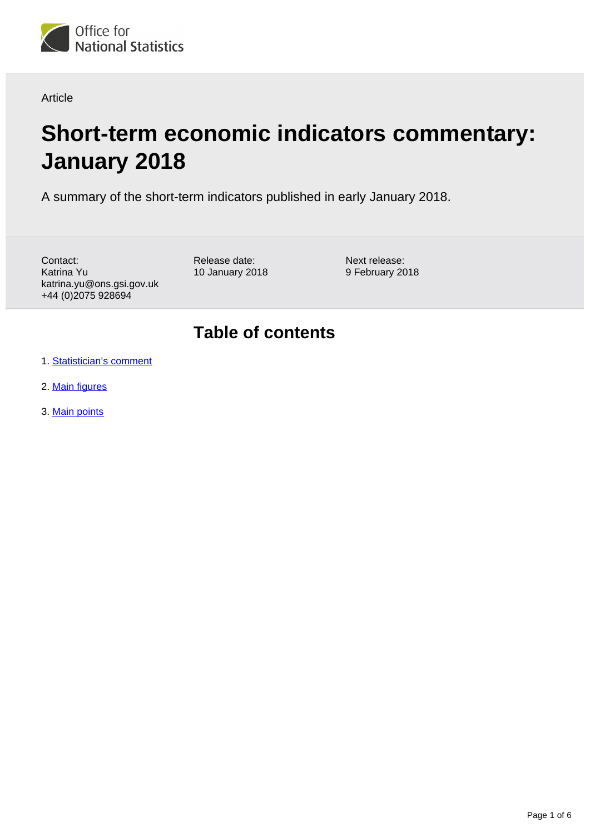

Article

# **Short-term economic indicators commentary: January 2018**

A summary of the short-term indicators published in early January 2018.

Contact: Katrina Yu katrina.yu@ons.gsi.gov.uk +44 (0)2075 928694

Release date: 10 January 2018 Next release: 9 February 2018

## **Table of contents**

- 1. [Statistician's comment](#page-1-0)
- 2. [Main figures](#page-1-1)
- 3. [Main points](#page-2-0)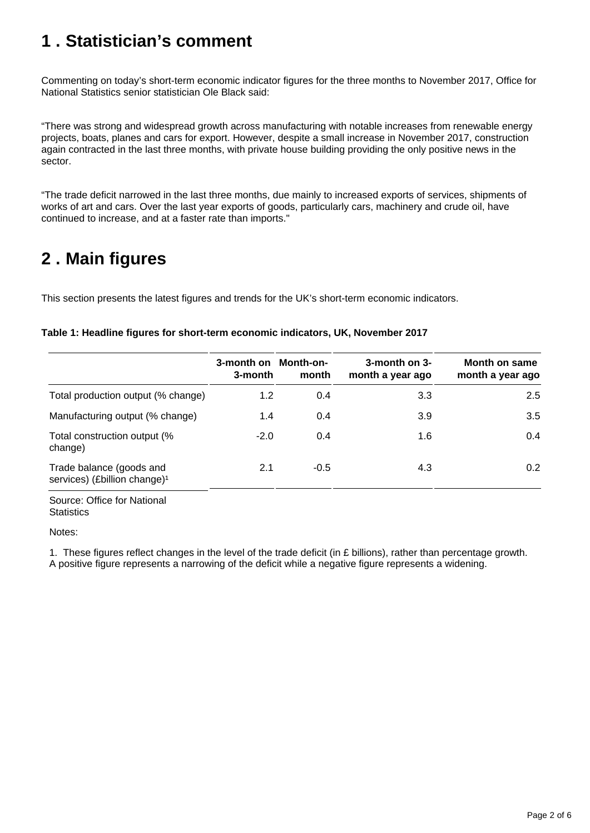## <span id="page-1-0"></span>**1 . Statistician's comment**

Commenting on today's short-term economic indicator figures for the three months to November 2017, Office for National Statistics senior statistician Ole Black said:

"There was strong and widespread growth across manufacturing with notable increases from renewable energy projects, boats, planes and cars for export. However, despite a small increase in November 2017, construction again contracted in the last three months, with private house building providing the only positive news in the sector.

"The trade deficit narrowed in the last three months, due mainly to increased exports of services, shipments of works of art and cars. Over the last year exports of goods, particularly cars, machinery and crude oil, have continued to increase, and at a faster rate than imports."

## <span id="page-1-1"></span>**2 . Main figures**

This section presents the latest figures and trends for the UK's short-term economic indicators.

| Table 1: Headline figures for short-term economic indicators, UK, November 2017 |  |  |
|---------------------------------------------------------------------------------|--|--|
|                                                                                 |  |  |

|                                                                      | 3-month on<br>3-month | Month-on-<br>month | 3-month on 3-<br>month a year ago | Month on same<br>month a year ago |
|----------------------------------------------------------------------|-----------------------|--------------------|-----------------------------------|-----------------------------------|
| Total production output (% change)                                   | 1.2                   | 0.4                | 3.3                               | 2.5                               |
| Manufacturing output (% change)                                      | 1.4                   | 0.4                | 3.9                               | 3.5                               |
| Total construction output (%<br>change)                              | $-2.0$                | 0.4                | 1.6                               | 0.4                               |
| Trade balance (goods and<br>services) (£billion change) <sup>1</sup> | 2.1                   | $-0.5$             | 4.3                               | 0.2                               |

Source: Office for National **Statistics** 

Notes:

1. These figures reflect changes in the level of the trade deficit (in £ billions), rather than percentage growth. A positive figure represents a narrowing of the deficit while a negative figure represents a widening.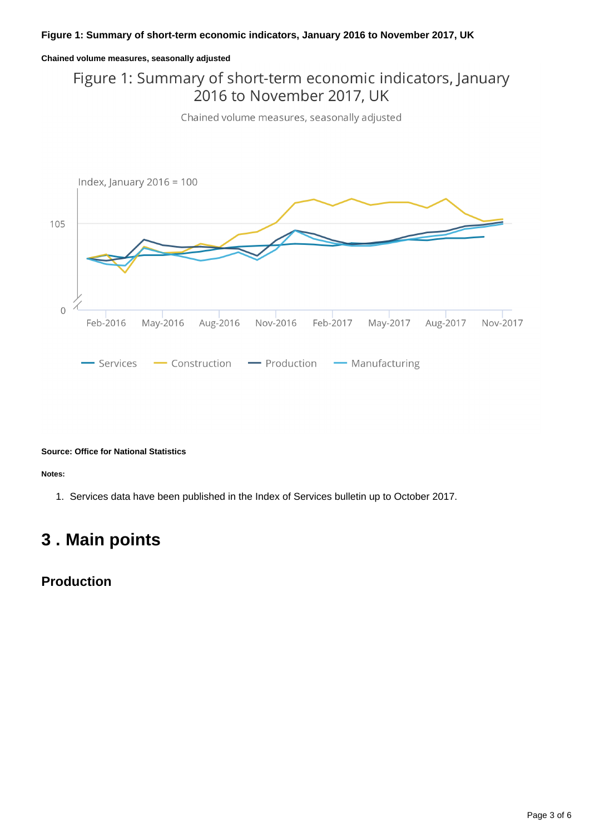#### **Chained volume measures, seasonally adjusted**

### Figure 1: Summary of short-term economic indicators, January 2016 to November 2017, UK

Chained volume measures, seasonally adjusted



#### **Source: Office for National Statistics**

**Notes:**

1. Services data have been published in the Index of Services bulletin up to October 2017.

## <span id="page-2-0"></span>**3 . Main points**

#### **Production**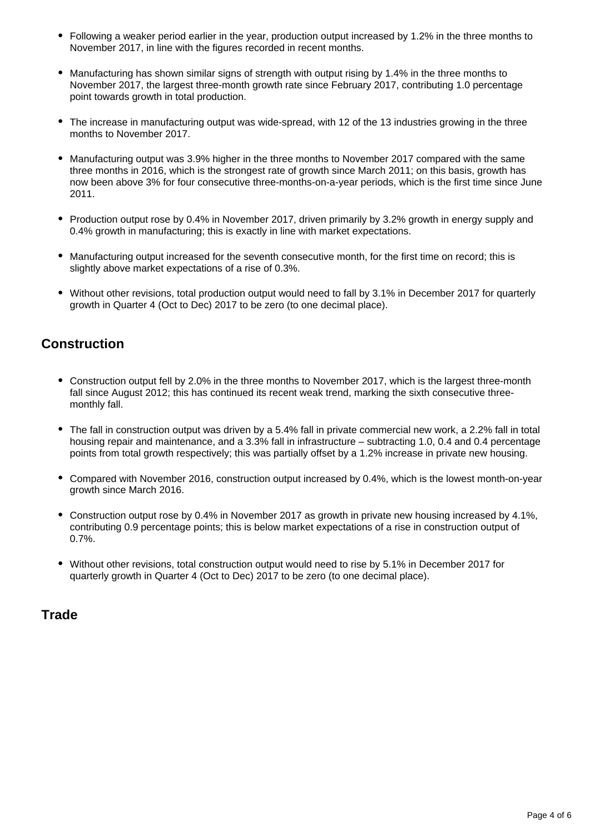- Following a weaker period earlier in the year, production output increased by 1.2% in the three months to November 2017, in line with the figures recorded in recent months.
- Manufacturing has shown similar signs of strength with output rising by 1.4% in the three months to November 2017, the largest three-month growth rate since February 2017, contributing 1.0 percentage point towards growth in total production.
- The increase in manufacturing output was wide-spread, with 12 of the 13 industries growing in the three months to November 2017.
- Manufacturing output was 3.9% higher in the three months to November 2017 compared with the same three months in 2016, which is the strongest rate of growth since March 2011; on this basis, growth has now been above 3% for four consecutive three-months-on-a-year periods, which is the first time since June 2011.
- Production output rose by 0.4% in November 2017, driven primarily by 3.2% growth in energy supply and 0.4% growth in manufacturing; this is exactly in line with market expectations.
- Manufacturing output increased for the seventh consecutive month, for the first time on record; this is slightly above market expectations of a rise of 0.3%.
- Without other revisions, total production output would need to fall by 3.1% in December 2017 for quarterly growth in Quarter 4 (Oct to Dec) 2017 to be zero (to one decimal place).

### **Construction**

- Construction output fell by 2.0% in the three months to November 2017, which is the largest three-month fall since August 2012; this has continued its recent weak trend, marking the sixth consecutive threemonthly fall.
- The fall in construction output was driven by a 5.4% fall in private commercial new work, a 2.2% fall in total housing repair and maintenance, and a 3.3% fall in infrastructure – subtracting 1.0, 0.4 and 0.4 percentage points from total growth respectively; this was partially offset by a 1.2% increase in private new housing.
- Compared with November 2016, construction output increased by 0.4%, which is the lowest month-on-year growth since March 2016.
- Construction output rose by 0.4% in November 2017 as growth in private new housing increased by 4.1%, contributing 0.9 percentage points; this is below market expectations of a rise in construction output of 0.7%.
- Without other revisions, total construction output would need to rise by 5.1% in December 2017 for quarterly growth in Quarter 4 (Oct to Dec) 2017 to be zero (to one decimal place).

### **Trade**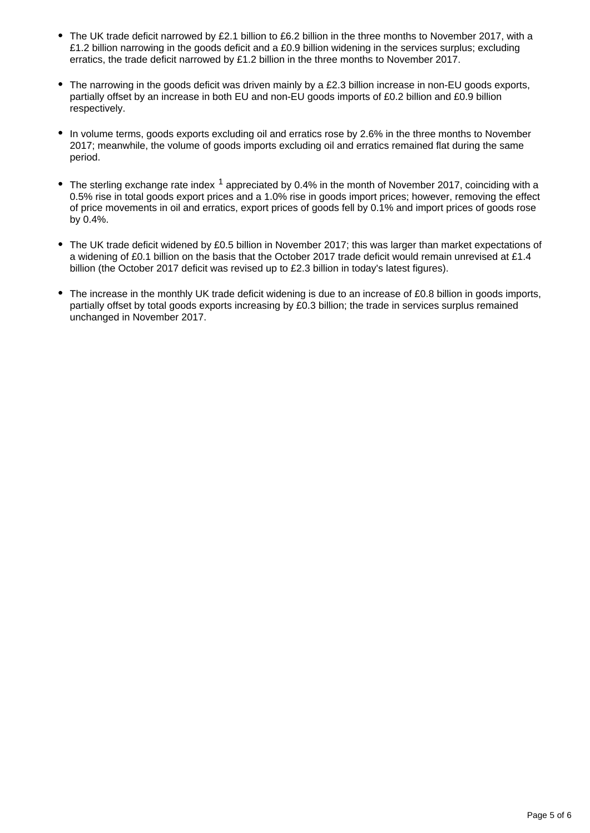- The UK trade deficit narrowed by £2.1 billion to £6.2 billion in the three months to November 2017, with a £1.2 billion narrowing in the goods deficit and a £0.9 billion widening in the services surplus; excluding erratics, the trade deficit narrowed by £1.2 billion in the three months to November 2017.
- The narrowing in the goods deficit was driven mainly by a £2.3 billion increase in non-EU goods exports, partially offset by an increase in both EU and non-EU goods imports of £0.2 billion and £0.9 billion respectively.
- In volume terms, goods exports excluding oil and erratics rose by 2.6% in the three months to November 2017; meanwhile, the volume of goods imports excluding oil and erratics remained flat during the same period.
- The sterling exchange rate index  $1$  appreciated by 0.4% in the month of November 2017, coinciding with a 0.5% rise in total goods export prices and a 1.0% rise in goods import prices; however, removing the effect of price movements in oil and erratics, export prices of goods fell by 0.1% and import prices of goods rose by 0.4%.
- The UK trade deficit widened by £0.5 billion in November 2017; this was larger than market expectations of a widening of £0.1 billion on the basis that the October 2017 trade deficit would remain unrevised at £1.4 billion (the October 2017 deficit was revised up to £2.3 billion in today's latest figures).
- The increase in the monthly UK trade deficit widening is due to an increase of £0.8 billion in goods imports, partially offset by total goods exports increasing by £0.3 billion; the trade in services surplus remained unchanged in November 2017.